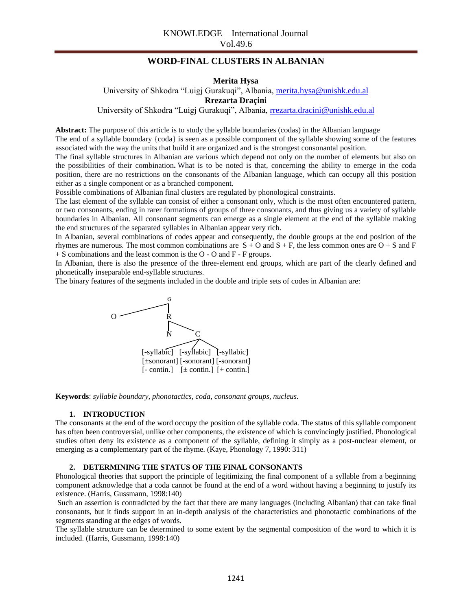# **WORD-FINAL CLUSTERS IN ALBANIAN**

**Merita Hysa**

University of Shkodra "Luigj Gurakuqi", Albania, [merita.hysa@unishk.edu.al](mailto:merita.hysa@unishk.edu.al) **Rrezarta Draçini** University of Shkodra "Luigj Gurakuqi", Albania, [rrezarta.dracini@unishk.edu.al](mailto:rrezarta.dracini@unishk.edu.al)

**Abstract:** The purpose of this article is to study the syllable boundaries (codas) in the Albanian language The end of a syllable boundary {coda} is seen as a possible component of the syllable showing some of the features

associated with the way the units that build it are organized and is the strongest consonantal position.

The final syllable structures in Albanian are various which depend not only on the number of elements but also on the possibilities of their combination**.** What is to be noted is that, concerning the ability to emerge in the coda position, there are no restrictions on the consonants of the Albanian language, which can occupy all this position either as a single component or as a branched component.

Possible combinations of Albanian final clusters are regulated by phonological constraints.

The last element of the syllable can consist of either a consonant only, which is the most often encountered pattern, or two consonants, ending in rarer formations of groups of three consonants, and thus giving us a variety of syllable boundaries in Albanian. All consonant segments can emerge as a single element at the end of the syllable making the end structures of the separated syllables in Albanian appear very rich.

In Albanian, several combinations of codes appear and consequently, the double groups at the end position of the rhymes are numerous. The most common combinations are  $S + O$  and  $S + F$ , the less common ones are  $O + S$  and F + S combinations and the least common is the O - O and F - F groups.

In Albanian, there is also the presence of the three-element end groups, which are part of the clearly defined and phonetically inseparable end-syllable structures.

The binary features of the segments included in the double and triple sets of codes in Albanian are:



**Keywords**: *syllable boundary, phonotactics, coda, consonant groups, nucleus.*

#### **1. INTRODUCTION**

The consonants at the end of the word occupy the position of the syllable coda. The status of this syllable component has often been controversial, unlike other components, the existence of which is convincingly justified. Phonological studies often deny its existence as a component of the syllable, defining it simply as a post-nuclear element, or emerging as a complementary part of the rhyme. (Kaye, Phonology 7, 1990: 311)

### **2. DETERMINING THE STATUS OF THE FINAL CONSONANTS**

Phonological theories that support the principle of legitimizing the final component of a syllable from a beginning component acknowledge that a coda cannot be found at the end of a word without having a beginning to justify its existence. (Harris, Gussmann, 1998:140)

Such an assertion is contradicted by the fact that there are many languages (including Albanian) that can take final consonants, but it finds support in an in-depth analysis of the characteristics and phonotactic combinations of the segments standing at the edges of words.

The syllable structure can be determined to some extent by the segmental composition of the word to which it is included. (Harris, Gussmann, 1998:140)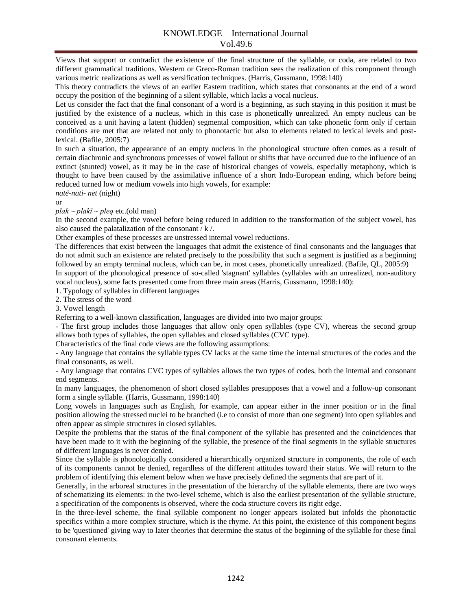Views that support or contradict the existence of the final structure of the syllable, or coda, are related to two different grammatical traditions. Western or Greco-Roman tradition sees the realization of this component through various metric realizations as well as versification techniques. (Harris, Gussmann, 1998:140)

This theory contradicts the views of an earlier Eastern tradition, which states that consonants at the end of a word occupy the position of the beginning of a silent syllable, which lacks a vocal nucleus.

Let us consider the fact that the final consonant of a word is a beginning, as such staying in this position it must be justified by the existence of a nucleus, which in this case is phonetically unrealized. An empty nucleus can be conceived as a unit having a latent (hidden) segmental composition, which can take phonetic form only if certain conditions are met that are related not only to phonotactic but also to elements related to lexical levels and postlexical. (Bafile, 2005:7)

In such a situation, the appearance of an empty nucleus in the phonological structure often comes as a result of certain diachronic and synchronous processes of vowel fallout or shifts that have occurred due to the influence of an extinct (stunted) vowel, as it may be in the case of historical changes of vowels, especially metaphony, which is thought to have been caused by the assimilative influence of a short Indo-European ending, which before being reduced turned low or medium vowels into high vowels, for example:

*natë-nati- net* (night) or

 $plak \sim plak\bar{i} \sim pleg$  etc.(old man)

In the second example, the vowel before being reduced in addition to the transformation of the subject vowel, has also caused the palatalization of the consonant  $/k /$ .

Other examples of these processes are unstressed internal vowel reductions.

The differences that exist between the languages that admit the existence of final consonants and the languages that do not admit such an existence are related precisely to the possibility that such a segment is justified as a beginning followed by an empty terminal nucleus, which can be, in most cases, phonetically unrealized. (Bafile, QL, 2005:9)

In support of the phonological presence of so-called 'stagnant' syllables (syllables with an unrealized, non-auditory vocal nucleus), some facts presented come from three main areas (Harris, Gussmann, 1998:140):

1. Typology of syllables in different languages

2. The stress of the word

3. Vowel length

Referring to a well-known classification, languages are divided into two major groups:

- The first group includes those languages that allow only open syllables (type CV), whereas the second group allows both types of syllables, the open syllables and closed syllables (CVC type).

Characteristics of the final code views are the following assumptions:

- Any language that contains the syllable types CV lacks at the same time the internal structures of the codes and the final consonants, as well.

- Any language that contains CVC types of syllables allows the two types of codes, both the internal and consonant end segments.

In many languages, the phenomenon of short closed syllables presupposes that a vowel and a follow-up consonant form a single syllable. (Harris, Gussmann, 1998:140)

Long vowels in languages such as English, for example, can appear either in the inner position or in the final position allowing the stressed nuclei to be branched (i.e to consist of more than one segment) into open syllables and often appear as simple structures in closed syllables.

Despite the problems that the status of the final component of the syllable has presented and the coincidences that have been made to it with the beginning of the syllable, the presence of the final segments in the syllable structures of different languages is never denied.

Since the syllable is phonologically considered a hierarchically organized structure in components, the role of each of its components cannot be denied, regardless of the different attitudes toward their status. We will return to the problem of identifying this element below when we have precisely defined the segments that are part of it.

Generally, in the arboreal structures in the presentation of the hierarchy of the syllable elements, there are two ways of schematizing its elements: in the two-level scheme, which is also the earliest presentation of the syllable structure, a specification of the components is observed, where the coda structure covers its right edge.

In the three-level scheme, the final syllable component no longer appears isolated but infolds the phonotactic specifics within a more complex structure, which is the rhyme. At this point, the existence of this component begins to be 'questioned' giving way to later theories that determine the status of the beginning of the syllable for these final consonant elements.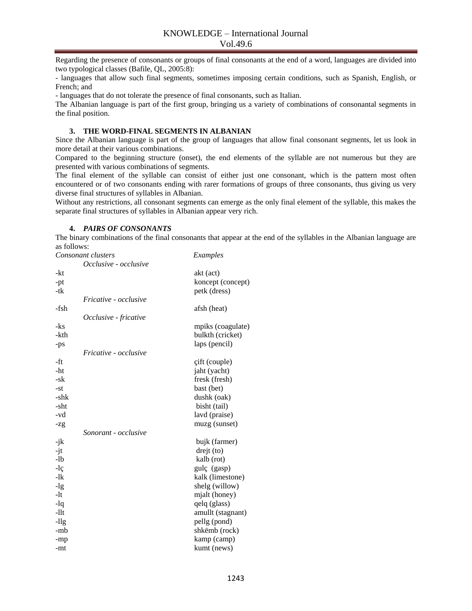Regarding the presence of consonants or groups of final consonants at the end of a word, languages are divided into two typological classes (Bafile, QL, 2005:8):

- languages that allow such final segments, sometimes imposing certain conditions, such as Spanish, English, or French; and

- languages that do not tolerate the presence of final consonants, such as Italian.

The Albanian language is part of the first group, bringing us a variety of combinations of consonantal segments in the final position.

### **3. THE WORD-FINAL SEGMENTS IN ALBANIAN**

Since the Albanian language is part of the group of languages that allow final consonant segments, let us look in more detail at their various combinations.

Compared to the beginning structure (onset), the end elements of the syllable are not numerous but they are presented with various combinations of segments.

The final element of the syllable can consist of either just one consonant, which is the pattern most often encountered or of two consonants ending with rarer formations of groups of three consonants, thus giving us very diverse final structures of syllables in Albanian.

Without any restrictions, all consonant segments can emerge as the only final element of the syllable, this makes the separate final structures of syllables in Albanian appear very rich.

# **4.** *PAIRS OF CONSONANTS*

The binary combinations of the final consonants that appear at the end of the syllables in the Albanian language are as follows:

| Consonant clusters |                              | Examples          |
|--------------------|------------------------------|-------------------|
|                    | Occlusive - occlusive        |                   |
| -kt                |                              | akt (act)         |
| $-pt$              |                              | koncept (concept) |
| -tk                |                              | petk (dress)      |
|                    | <i>Fricative - occlusive</i> |                   |
| -fsh               |                              | afsh (heat)       |
|                    | Occlusive - fricative        |                   |
| -ks                |                              | mpiks (coagulate) |
| -kth               |                              | bulkth (cricket)  |
| -ps                |                              | laps (pencil)     |
|                    | Fricative - occlusive        |                   |
| -ft                |                              | cift (couple)     |
| -ht                |                              | jaht (yacht)      |
| -sk                |                              | fresk (fresh)     |
| -st                |                              | bast (bet)        |
| -shk               |                              | dushk (oak)       |
| -sht               |                              | bisht (tail)      |
| -vd                |                              | lavd (praise)     |
| $-zg$              |                              | muzg (sunset)     |
|                    | Sonorant - occlusive         |                   |
| -jk                |                              | bujk (farmer)     |
| $-jt$              |                              | drejt(to)         |
| $-lb$              |                              | kalb (rot)        |
| $-l\varsigma$      |                              | gulç (gasp)       |
| $-1k$              |                              | kalk (limestone)  |
| $-lg$              |                              | shelg (willow)    |
| $-lt$              |                              | mjalt (honey)     |
| -lq                |                              | qelq (glass)      |
| $-11t$             |                              | amullt (stagnant) |
| $-11g$             |                              | pellg (pond)      |
| -mb                |                              | shkëmb (rock)     |
| -mp                |                              | kamp (camp)       |
| -mt                |                              | kumt (news)       |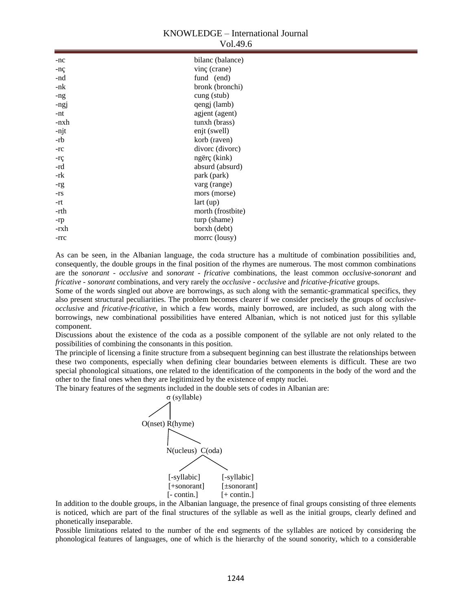# KNOWLEDGE – International Journal Vol.49.6

| $-nc$ | bilanc (balance)  |
|-------|-------------------|
| -nç   | vinc (crane)      |
| -nd   | fund (end)        |
| -nk   | bronk (bronchi)   |
| -ng   | cung (stub)       |
| -ngj  | qengj (lamb)      |
| -nt   | agjent (agent)    |
| -nxh  | tunxh (brass)     |
| -njt  | enjt (swell)      |
| -rb   | korb (raven)      |
| $-rc$ | divorc (divorc)   |
| $-rc$ | ngërç (kink)      |
| -rd   | absurd (absurd)   |
| -rk   | park (park)       |
| -rg   | varg (range)      |
| $-rs$ | mors (morse)      |
| -rt   | lart(up)          |
| -rth  | morth (frostbite) |
| -rp   | turp (shame)      |
| -rxh  | borxh (debt)      |
| -rrc  | morre (lousy)     |

As can be seen, in the Albanian language, the coda structure has a multitude of combination possibilities and, consequently, the double groups in the final position of the rhymes are numerous. The most common combinations are the *sonorant - occlusive* and *sonorant - fricative* combinations, the least common *occlusive-sonorant* and *fricative - sonorant* combinations, and very rarely the *occlusive - occlusive* and *fricative-fricative* groups.

Some of the words singled out above are borrowings, as such along with the semantic-grammatical specifics, they also present structural peculiarities. The problem becomes clearer if we consider precisely the groups of *occlusiveocclusive* and *fricative-fricative*, in which a few words, mainly borrowed, are included, as such along with the borrowings, new combinational possibilities have entered Albanian, which is not noticed just for this syllable component.

Discussions about the existence of the coda as a possible component of the syllable are not only related to the possibilities of combining the consonants in this position.

The principle of licensing a finite structure from a subsequent beginning can best illustrate the relationships between these two components, especially when defining clear boundaries between elements is difficult. These are two special phonological situations, one related to the identification of the components in the body of the word and the other to the final ones when they are legitimized by the existence of empty nuclei.

The binary features of the segments included in the double sets of codes in Albanian are:



In addition to the double groups, in the Albanian language, the presence of final groups consisting of three elements is noticed, which are part of the final structures of the syllable as well as the initial groups, clearly defined and phonetically inseparable.

Possible limitations related to the number of the end segments of the syllables are noticed by considering the phonological features of languages, one of which is the hierarchy of the sound sonority, which to a considerable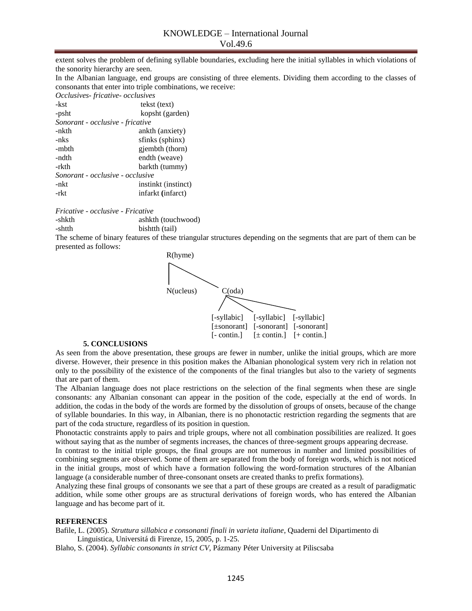extent solves the problem of defining syllable boundaries, excluding here the initial syllables in which violations of the sonority hierarchy are seen.

In the Albanian language, end groups are consisting of three elements. Dividing them according to the classes of consonants that enter into triple combinations, we receive:

*Occlusives- fricative- occlusives* 

| -kst                             | tekst (text)        |  |  |
|----------------------------------|---------------------|--|--|
| -psht                            | kopsht (garden)     |  |  |
| Sonorant - occlusive - fricative |                     |  |  |
| -nkth                            | ankth (anxiety)     |  |  |
| -nks                             | sfinks (sphinx)     |  |  |
| -mbth                            | gjembth (thorn)     |  |  |
| -ndth                            | endth (weave)       |  |  |
| -rkth                            | barkth (tummy)      |  |  |
| Sonorant - occlusive - occlusive |                     |  |  |
| -nkt                             | instinkt (instinct) |  |  |
| -rkt                             | infarkt (infarct)   |  |  |
|                                  |                     |  |  |

*Fricative - occlusive - Fricative*

-shkth ashkth (touchwood) -shtth bishtth (tail)

The scheme of binary features of these triangular structures depending on the segments that are part of them can be presented as follows:



#### **5. CONCLUSIONS**

As seen from the above presentation, these groups are fewer in number, unlike the initial groups, which are more diverse. However, their presence in this position makes the Albanian phonological system very rich in relation not only to the possibility of the existence of the components of the final triangles but also to the variety of segments that are part of them.

The Albanian language does not place restrictions on the selection of the final segments when these are single consonants: any Albanian consonant can appear in the position of the code, especially at the end of words. In addition, the codas in the body of the words are formed by the dissolution of groups of onsets, because of the change of syllable boundaries. In this way, in Albanian, there is no phonotactic restriction regarding the segments that are part of the coda structure, regardless of its position in question.

Phonotactic constraints apply to pairs and triple groups, where not all combination possibilities are realized. It goes without saying that as the number of segments increases, the chances of three-segment groups appearing decrease.

In contrast to the initial triple groups, the final groups are not numerous in number and limited possibilities of combining segments are observed. Some of them are separated from the body of foreign words, which is not noticed in the initial groups, most of which have a formation following the word-formation structures of the Albanian language (a considerable number of three-consonant onsets are created thanks to prefix formations).

Analyzing these final groups of consonants we see that a part of these groups are created as a result of paradigmatic addition, while some other groups are as structural derivations of foreign words, who has entered the Albanian language and has become part of it.

## **REFERENCES**

Bafile, L. (2005). *Struttura sillabica e consonanti finali in varieta italiane*, Quaderni del Dipartimento di Linguistica, Universitá di Firenze, 15, 2005, p. 1-25.

Blaho, S. (2004). *Syllabic consonants in strict CV*, Pázmany Péter University at Piliscsaba